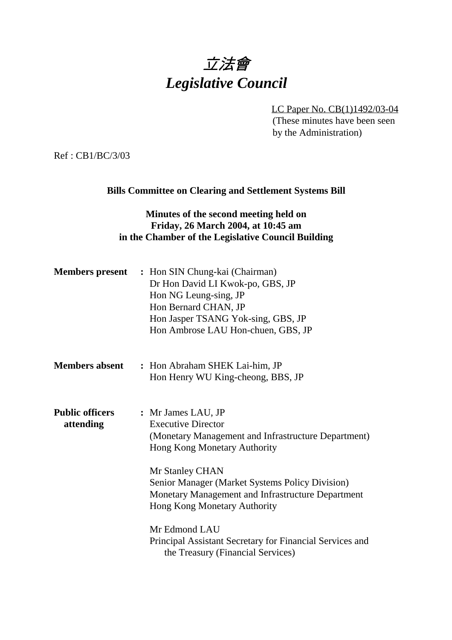# 立法會 *Legislative Council*

LC Paper No. CB(1)1492/03-04 (These minutes have been seen by the Administration)

Ref : CB1/BC/3/03

#### **Bills Committee on Clearing and Settlement Systems Bill**

### **Minutes of the second meeting held on Friday, 26 March 2004, at 10:45 am in the Chamber of the Legislative Council Building**

| <b>Members present</b>              | : Hon SIN Chung-kai (Chairman)<br>Dr Hon David LI Kwok-po, GBS, JP<br>Hon NG Leung-sing, JP<br>Hon Bernard CHAN, JP<br>Hon Jasper TSANG Yok-sing, GBS, JP<br>Hon Ambrose LAU Hon-chuen, GBS, JP                                                                                                                    |
|-------------------------------------|--------------------------------------------------------------------------------------------------------------------------------------------------------------------------------------------------------------------------------------------------------------------------------------------------------------------|
| <b>Members absent</b>               | : Hon Abraham SHEK Lai-him, JP<br>Hon Henry WU King-cheong, BBS, JP                                                                                                                                                                                                                                                |
| <b>Public officers</b><br>attending | : Mr James LAU, JP<br><b>Executive Director</b><br>(Monetary Management and Infrastructure Department)<br>Hong Kong Monetary Authority<br>Mr Stanley CHAN<br>Senior Manager (Market Systems Policy Division)<br>Monetary Management and Infrastructure Department<br>Hong Kong Monetary Authority<br>Mr Edmond LAU |
|                                     | Principal Assistant Secretary for Financial Services and<br>the Treasury (Financial Services)                                                                                                                                                                                                                      |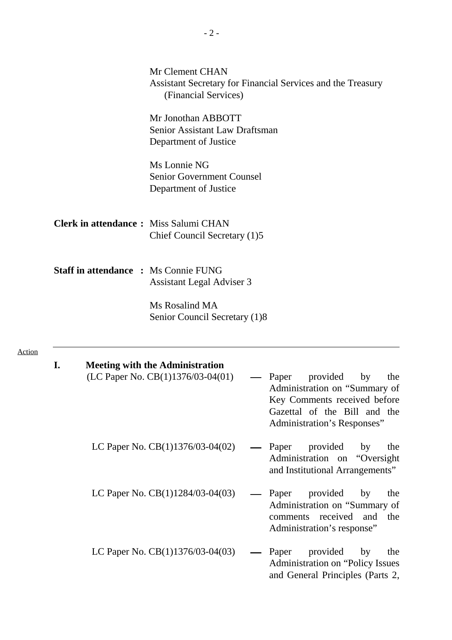|              | Mr Clement CHAN<br>(Financial Services)                                         |                          | Assistant Secretary for Financial Services and the Treasury                                                                                                 |
|--------------|---------------------------------------------------------------------------------|--------------------------|-------------------------------------------------------------------------------------------------------------------------------------------------------------|
|              | Mr Jonothan ABBOTT<br>Senior Assistant Law Draftsman<br>Department of Justice   |                          |                                                                                                                                                             |
|              | Ms Lonnie NG<br>Senior Government Counsel<br>Department of Justice              |                          |                                                                                                                                                             |
|              | <b>Clerk in attendance:</b> Miss Salumi CHAN<br>Chief Council Secretary (1)5    |                          |                                                                                                                                                             |
|              | <b>Staff in attendance : Ms Connie FUNG</b><br><b>Assistant Legal Adviser 3</b> |                          |                                                                                                                                                             |
|              | Ms Rosalind MA<br>Senior Council Secretary (1)8                                 |                          |                                                                                                                                                             |
| Action<br>I. | <b>Meeting with the Administration</b><br>(LC Paper No. $CB(1)1376/03-04(01)$ ) | $\overline{\phantom{0}}$ | Paper provided<br>by<br>the<br>Administration on "Summary of<br>Key Comments received before<br>Gazettal of the Bill and the<br>Administration's Responses" |
|              | LC Paper No. $CB(1)1376/03-04(02)$                                              |                          | Paper<br>provided<br>by<br>the<br>Administration on "Oversight<br>and Institutional Arrangements"                                                           |
|              | LC Paper No. CB(1)1284/03-04(03)                                                |                          | provided<br>by<br>Paper<br>the<br>Administration on "Summary of<br>comments received<br>and<br>the<br>Administration's response"                            |
|              | LC Paper No. CB(1)1376/03-04(03)                                                |                          | Paper<br>provided<br>by<br>the<br>Administration on "Policy Issues<br>and General Principles (Parts 2,                                                      |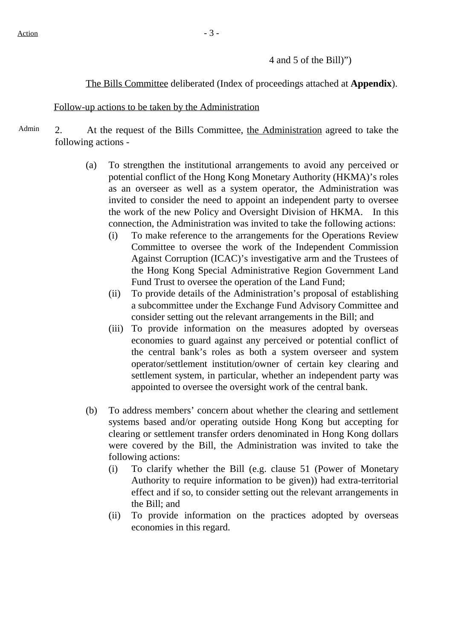4 and 5 of the Bill)")

The Bills Committee deliberated (Index of proceedings attached at **Appendix**).

#### Follow-up actions to be taken by the Administration

- Admin 2. At the request of the Bills Committee, the Administration agreed to take the following actions -
	- (a) To strengthen the institutional arrangements to avoid any perceived or potential conflict of the Hong Kong Monetary Authority (HKMA)'s roles as an overseer as well as a system operator, the Administration was invited to consider the need to appoint an independent party to oversee the work of the new Policy and Oversight Division of HKMA. In this connection, the Administration was invited to take the following actions:
		- (i) To make reference to the arrangements for the Operations Review Committee to oversee the work of the Independent Commission Against Corruption (ICAC)'s investigative arm and the Trustees of the Hong Kong Special Administrative Region Government Land Fund Trust to oversee the operation of the Land Fund;
		- (ii) To provide details of the Administration's proposal of establishing a subcommittee under the Exchange Fund Advisory Committee and consider setting out the relevant arrangements in the Bill; and
		- (iii) To provide information on the measures adopted by overseas economies to guard against any perceived or potential conflict of the central bank's roles as both a system overseer and system operator/settlement institution/owner of certain key clearing and settlement system, in particular, whether an independent party was appointed to oversee the oversight work of the central bank.
	- (b) To address members' concern about whether the clearing and settlement systems based and/or operating outside Hong Kong but accepting for clearing or settlement transfer orders denominated in Hong Kong dollars were covered by the Bill, the Administration was invited to take the following actions:
		- (i) To clarify whether the Bill (e.g. clause 51 (Power of Monetary Authority to require information to be given)) had extra-territorial effect and if so, to consider setting out the relevant arrangements in the Bill; and
		- (ii) To provide information on the practices adopted by overseas economies in this regard.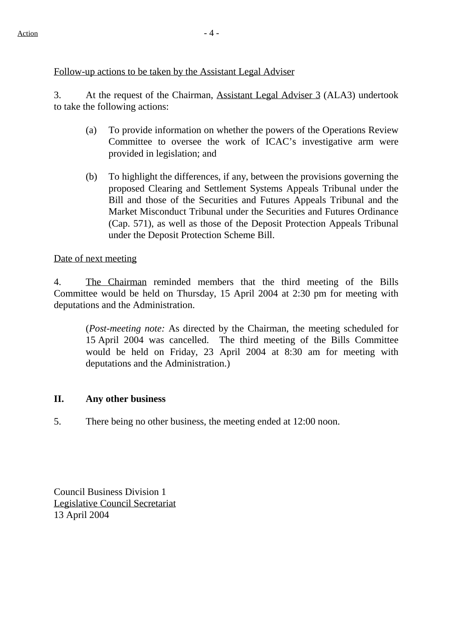Follow-up actions to be taken by the Assistant Legal Adviser

3. At the request of the Chairman, Assistant Legal Adviser 3 (ALA3) undertook to take the following actions:

- (a) To provide information on whether the powers of the Operations Review Committee to oversee the work of ICAC's investigative arm were provided in legislation; and
- (b) To highlight the differences, if any, between the provisions governing the proposed Clearing and Settlement Systems Appeals Tribunal under the Bill and those of the Securities and Futures Appeals Tribunal and the Market Misconduct Tribunal under the Securities and Futures Ordinance (Cap. 571), as well as those of the Deposit Protection Appeals Tribunal under the Deposit Protection Scheme Bill.

### Date of next meeting

4. The Chairman reminded members that the third meeting of the Bills Committee would be held on Thursday, 15 April 2004 at 2:30 pm for meeting with deputations and the Administration.

(*Post-meeting note:* As directed by the Chairman, the meeting scheduled for 15 April 2004 was cancelled. The third meeting of the Bills Committee would be held on Friday, 23 April 2004 at 8:30 am for meeting with deputations and the Administration.)

### **II. Any other business**

5. There being no other business, the meeting ended at 12:00 noon.

Council Business Division 1 Legislative Council Secretariat 13 April 2004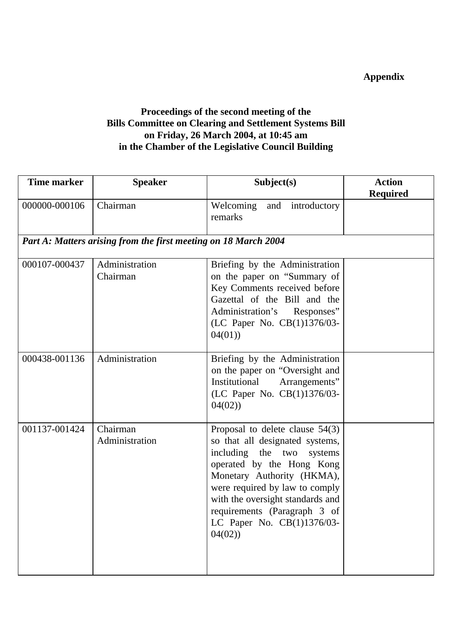# **Appendix**

## **Proceedings of the second meeting of the Bills Committee on Clearing and Settlement Systems Bill on Friday, 26 March 2004, at 10:45 am in the Chamber of the Legislative Council Building**

| <b>Time marker</b>                                              | <b>Speaker</b>             | Subject(s)                                                                                                                                                                                                                                                                                                 | <b>Action</b><br><b>Required</b> |
|-----------------------------------------------------------------|----------------------------|------------------------------------------------------------------------------------------------------------------------------------------------------------------------------------------------------------------------------------------------------------------------------------------------------------|----------------------------------|
| 000000-000106                                                   | Chairman                   | Welcoming<br>introductory<br>and<br>remarks                                                                                                                                                                                                                                                                |                                  |
| Part A: Matters arising from the first meeting on 18 March 2004 |                            |                                                                                                                                                                                                                                                                                                            |                                  |
| 000107-000437                                                   | Administration<br>Chairman | Briefing by the Administration<br>on the paper on "Summary of<br>Key Comments received before<br>Gazettal of the Bill and the<br>Administration's Responses"<br>(LC Paper No. CB(1)1376/03-<br>04(01)                                                                                                      |                                  |
| 000438-001136                                                   | Administration             | Briefing by the Administration<br>on the paper on "Oversight and<br>Institutional<br>Arrangements"<br>(LC Paper No. CB(1)1376/03-<br>04(02)                                                                                                                                                                |                                  |
| 001137-001424                                                   | Chairman<br>Administration | Proposal to delete clause $54(3)$<br>so that all designated systems,<br>including the two systems<br>operated by the Hong Kong<br>Monetary Authority (HKMA),<br>were required by law to comply<br>with the oversight standards and<br>requirements (Paragraph 3 of<br>LC Paper No. CB(1)1376/03-<br>04(02) |                                  |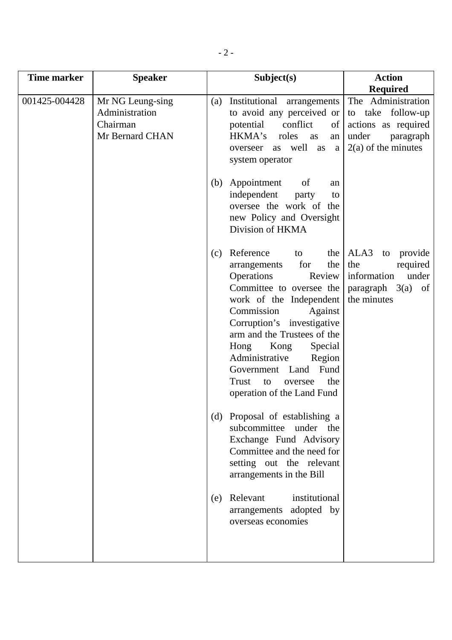| <b>Time marker</b> | <b>Speaker</b>                                                    |     | Subject(s)                                                                                                                                                                                                                                                                                                                                                       | <b>Action</b>                                                                                                 |
|--------------------|-------------------------------------------------------------------|-----|------------------------------------------------------------------------------------------------------------------------------------------------------------------------------------------------------------------------------------------------------------------------------------------------------------------------------------------------------------------|---------------------------------------------------------------------------------------------------------------|
|                    |                                                                   |     |                                                                                                                                                                                                                                                                                                                                                                  | <b>Required</b>                                                                                               |
| 001425-004428      | Mr NG Leung-sing<br>Administration<br>Chairman<br>Mr Bernard CHAN | (a) | Institutional arrangements<br>to avoid any perceived or<br>conflict<br>potential<br>of<br>HKMA's<br>roles<br>as<br>an<br>as well<br>as<br>a<br>overseer<br>system operator                                                                                                                                                                                       | The Administration<br>to take follow-up<br>actions as required<br>under<br>paragraph<br>$2(a)$ of the minutes |
|                    |                                                                   | (b) | Appointment<br>of<br>an<br>independent<br>party<br>to<br>oversee the work of the<br>new Policy and Oversight<br>Division of HKMA                                                                                                                                                                                                                                 |                                                                                                               |
|                    |                                                                   | (c) | Reference<br>to<br>for<br>the<br>arrangements<br>Review<br>Operations<br>Committee to oversee the<br>work of the Independent<br>Commission<br>Against<br>Corruption's investigative<br>arm and the Trustees of the<br>Hong Kong<br>Special<br>Administrative<br>Region<br>Fund<br>Government Land<br>Trust<br>the<br>to<br>oversee<br>operation of the Land Fund | the $ALA3$ to<br>provide<br>the<br>required<br>information<br>under<br>paragraph 3(a) of<br>the minutes       |
|                    |                                                                   |     | (d) Proposal of establishing a<br>subcommittee under the<br>Exchange Fund Advisory<br>Committee and the need for<br>setting out the relevant<br>arrangements in the Bill                                                                                                                                                                                         |                                                                                                               |
|                    |                                                                   | (e) | Relevant<br>institutional<br>arrangements adopted by<br>overseas economies                                                                                                                                                                                                                                                                                       |                                                                                                               |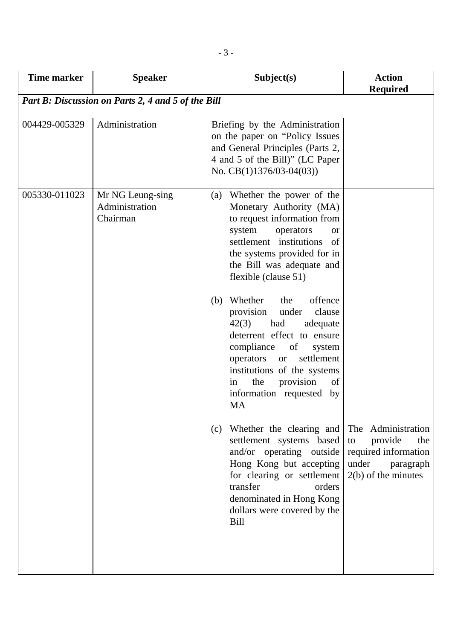| <b>Time marker</b>                                 | <b>Speaker</b>                                 | Subject(s)                                                                                                                                                                                                                                                                                                                                                                                                                                                                                                                                                                                         | <b>Action</b><br><b>Required</b>                                                            |  |  |
|----------------------------------------------------|------------------------------------------------|----------------------------------------------------------------------------------------------------------------------------------------------------------------------------------------------------------------------------------------------------------------------------------------------------------------------------------------------------------------------------------------------------------------------------------------------------------------------------------------------------------------------------------------------------------------------------------------------------|---------------------------------------------------------------------------------------------|--|--|
| Part B: Discussion on Parts 2, 4 and 5 of the Bill |                                                |                                                                                                                                                                                                                                                                                                                                                                                                                                                                                                                                                                                                    |                                                                                             |  |  |
| 004429-005329                                      | Administration                                 | Briefing by the Administration<br>on the paper on "Policy Issues"<br>and General Principles (Parts 2,<br>4 and 5 of the Bill)" (LC Paper<br>No. CB(1)1376/03-04(03))                                                                                                                                                                                                                                                                                                                                                                                                                               |                                                                                             |  |  |
| 005330-011023                                      | Mr NG Leung-sing<br>Administration<br>Chairman | Whether the power of the<br>(a)<br>Monetary Authority (MA)<br>to request information from<br>system<br>operators<br><sub>or</sub><br>settlement institutions<br>of<br>the systems provided for in<br>the Bill was adequate and<br>flexible (clause 51)<br>offence<br>Whether the<br>(b)<br>provision<br>under<br>clause<br>42(3)<br>had<br>adequate<br>deterrent effect to ensure<br>compliance<br>of<br>system<br>settlement<br>operators<br><b>or</b><br>institutions of the systems<br>the<br>provision<br>in<br>of<br>information requested by<br><b>MA</b><br>Whether the clearing and<br>(c) | The Administration                                                                          |  |  |
|                                                    |                                                | settlement systems based<br>and/or operating outside<br>Hong Kong but accepting<br>for clearing or settlement<br>transfer<br>orders<br>denominated in Hong Kong<br>dollars were covered by the<br><b>Bill</b>                                                                                                                                                                                                                                                                                                                                                                                      | provide<br>the<br>to<br>required information<br>under<br>paragraph<br>$2(b)$ of the minutes |  |  |